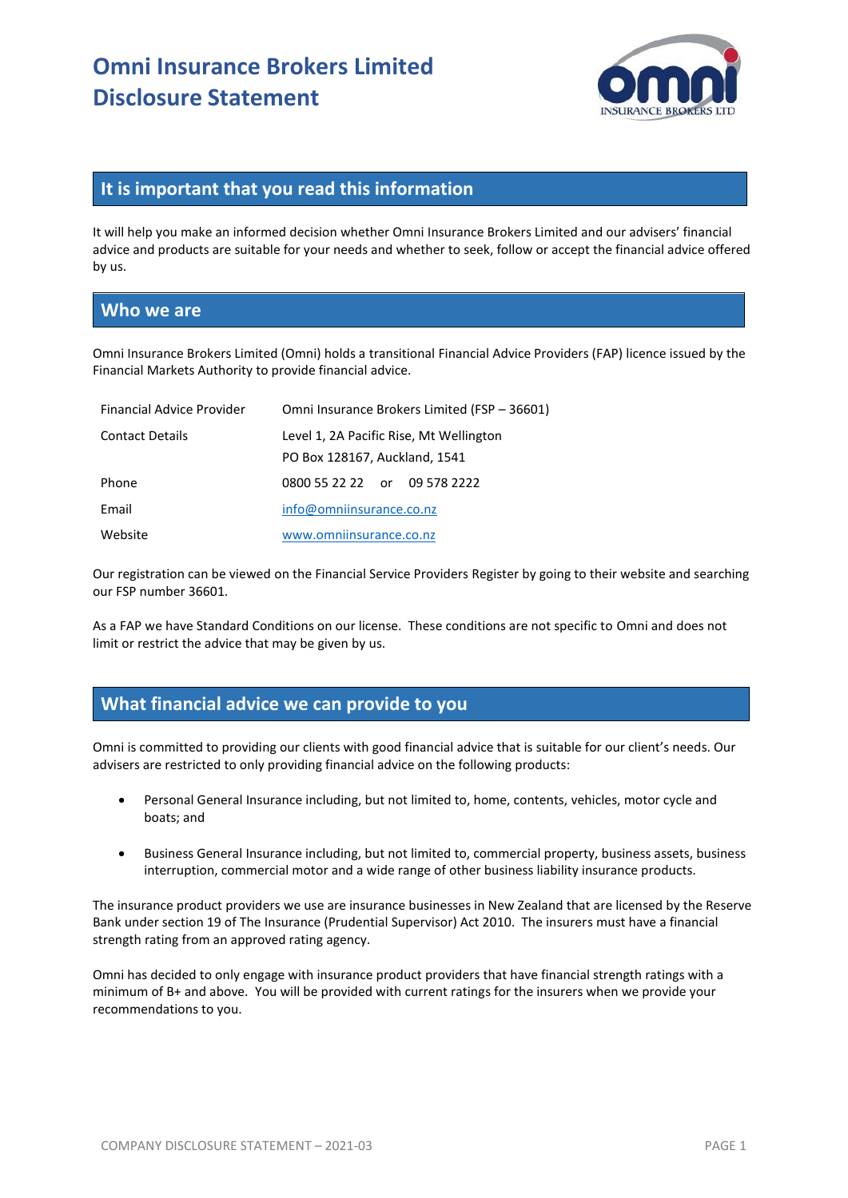

## **It is important that you read this information**

It will help you make an informed decision whether Omni Insurance Brokers Limited and our advisers' financial advice and products are suitable for your needs and whether to seek, follow or accept the financial advice offered by us.

# **Who we are**

Omni Insurance Brokers Limited (Omni) holds a transitional Financial Advice Providers (FAP) licence issued by the Financial Markets Authority to provide financial advice.

| Financial Advice Provider | Omni Insurance Brokers Limited (FSP - 36601) |
|---------------------------|----------------------------------------------|
| <b>Contact Details</b>    | Level 1, 2A Pacific Rise, Mt Wellington      |
|                           | PO Box 128167, Auckland, 1541                |
| Phone                     | 0800 55 22 22 or 09 578 2222                 |
| Email                     | info@omniinsurance.co.nz                     |
| Website                   | www.omniinsurance.co.nz                      |

Our registration can be viewed on the Financial Service Providers Register by going to their website and searching our FSP number 36601.

As a FAP we have Standard Conditions on our license. These conditions are not specific to Omni and does not limit or restrict the advice that may be given by us.

# **What financial advice we can provide to you**

Omni is committed to providing our clients with good financial advice that is suitable for our client's needs. Our advisers are restricted to only providing financial advice on the following products:

- Personal General Insurance including, but not limited to, home, contents, vehicles, motor cycle and boats; and
- Business General Insurance including, but not limited to, commercial property, business assets, business interruption, commercial motor and a wide range of other business liability insurance products.

The insurance product providers we use are insurance businesses in New Zealand that are licensed by the Reserve Bank under section 19 of The Insurance (Prudential Supervisor) Act 2010. The insurers must have a financial strength rating from an approved rating agency.

Omni has decided to only engage with insurance product providers that have financial strength ratings with a minimum of B+ and above. You will be provided with current ratings for the insurers when we provide your recommendations to you.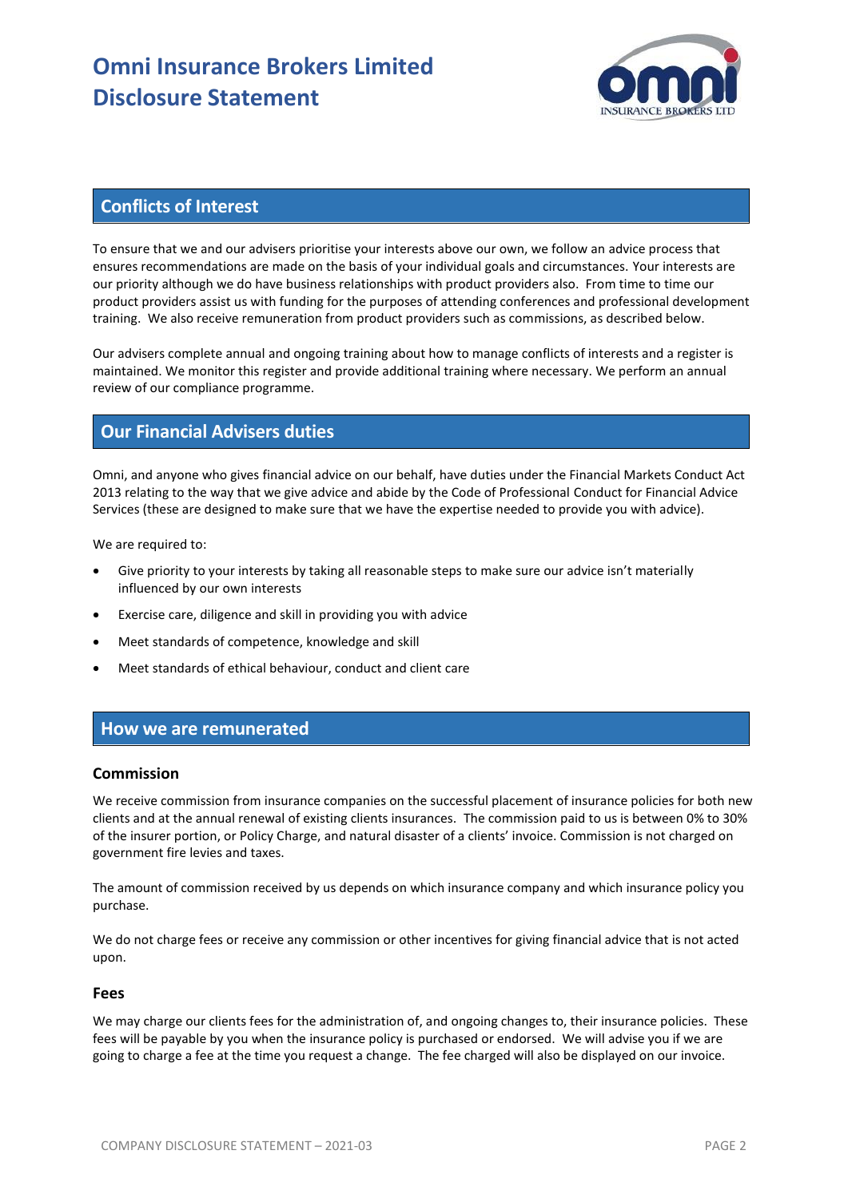# **Omni Insurance Brokers Limited Disclosure Statement**



# **Conflicts of Interest**

To ensure that we and our advisers prioritise your interests above our own, we follow an advice process that ensures recommendations are made on the basis of your individual goals and circumstances. Your interests are our priority although we do have business relationships with product providers also. From time to time our product providers assist us with funding for the purposes of attending conferences and professional development training. We also receive remuneration from product providers such as commissions, as described below.

Our advisers complete annual and ongoing training about how to manage conflicts of interests and a register is maintained. We monitor this register and provide additional training where necessary. We perform an annual review of our compliance programme.

## **Our Financial Advisers duties**

Omni, and anyone who gives financial advice on our behalf, have duties under the Financial Markets Conduct Act 2013 relating to the way that we give advice and abide by the Code of Professional Conduct for Financial Advice Services (these are designed to make sure that we have the expertise needed to provide you with advice).

We are required to:

- Give priority to your interests by taking all reasonable steps to make sure our advice isn't materially influenced by our own interests
- Exercise care, diligence and skill in providing you with advice
- Meet standards of competence, knowledge and skill
- Meet standards of ethical behaviour, conduct and client care

### **How we are remunerated**

#### **Commission**

We receive commission from insurance companies on the successful placement of insurance policies for both new clients and at the annual renewal of existing clients insurances. The commission paid to us is between 0% to 30% of the insurer portion, or Policy Charge, and natural disaster of a clients' invoice. Commission is not charged on government fire levies and taxes.

The amount of commission received by us depends on which insurance company and which insurance policy you purchase.

We do not charge fees or receive any commission or other incentives for giving financial advice that is not acted upon.

#### **Fees**

We may charge our clients fees for the administration of, and ongoing changes to, their insurance policies. These fees will be payable by you when the insurance policy is purchased or endorsed. We will advise you if we are going to charge a fee at the time you request a change. The fee charged will also be displayed on our invoice.